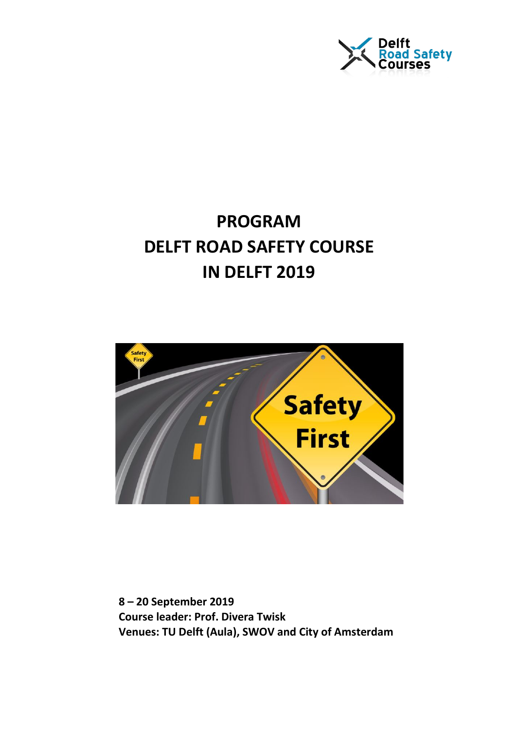

## **PROGRAM DELFT ROAD SAFETY COURSE IN DELFT 2019**



**8 – 20 September 2019 Course leader: Prof. Divera Twisk Venues: TU Delft (Aula), SWOV and City of Amsterdam**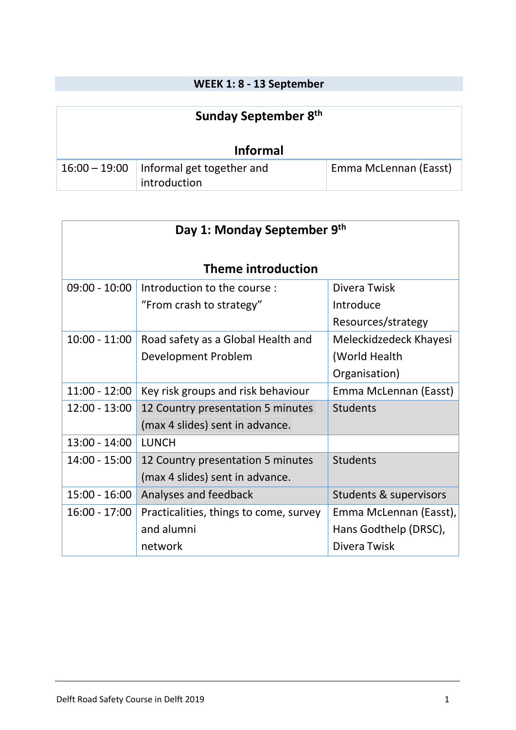## **WEEK 1: 8 - 13 September**

| Sunday September 8th |                                                           |                       |
|----------------------|-----------------------------------------------------------|-----------------------|
| <b>Informal</b>      |                                                           |                       |
|                      | 16:00 - 19:00   Informal get together and<br>introduction | Emma McLennan (Easst) |

| Day 1: Monday September 9th |                                        |                        |
|-----------------------------|----------------------------------------|------------------------|
| <b>Theme introduction</b>   |                                        |                        |
| $09:00 - 10:00$             | Introduction to the course :           | Divera Twisk           |
|                             | "From crash to strategy"               | Introduce              |
|                             |                                        | Resources/strategy     |
| $10:00 - 11:00$             | Road safety as a Global Health and     | Meleckidzedeck Khayesi |
|                             | Development Problem                    | (World Health          |
|                             |                                        | Organisation)          |
| $11:00 - 12:00$             | Key risk groups and risk behaviour     | Emma McLennan (Easst)  |
| $12:00 - 13:00$             | 12 Country presentation 5 minutes      | <b>Students</b>        |
|                             | (max 4 slides) sent in advance.        |                        |
| $13:00 - 14:00$             | <b>LUNCH</b>                           |                        |
| $14:00 - 15:00$             | 12 Country presentation 5 minutes      | <b>Students</b>        |
|                             | (max 4 slides) sent in advance.        |                        |
| $15:00 - 16:00$             | Analyses and feedback                  | Students & supervisors |
| $16:00 - 17:00$             | Practicalities, things to come, survey | Emma McLennan (Easst), |
|                             | and alumni                             | Hans Godthelp (DRSC),  |
|                             | network                                | Divera Twisk           |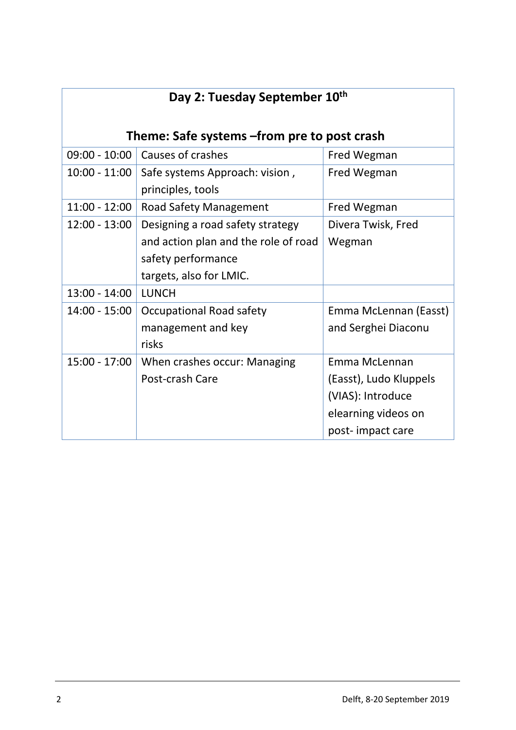| Day 2: Tuesday September 10th |                                                     |                        |  |
|-------------------------------|-----------------------------------------------------|------------------------|--|
|                               | Theme: Safe systems -from pre to post crash         |                        |  |
| $09:00 - 10:00$               | Causes of crashes                                   | Fred Wegman            |  |
| $10:00 - 11:00$               | Safe systems Approach: vision,<br>principles, tools | Fred Wegman            |  |
| $11:00 - 12:00$               | Road Safety Management                              | Fred Wegman            |  |
| $12:00 - 13:00$               | Designing a road safety strategy                    | Divera Twisk, Fred     |  |
|                               | and action plan and the role of road                | Wegman                 |  |
|                               | safety performance                                  |                        |  |
|                               | targets, also for LMIC.                             |                        |  |
| $13:00 - 14:00$               | LUNCH                                               |                        |  |
| $14:00 - 15:00$               | <b>Occupational Road safety</b>                     | Emma McLennan (Easst)  |  |
|                               | management and key                                  | and Serghei Diaconu    |  |
|                               | risks                                               |                        |  |
| $15:00 - 17:00$               | When crashes occur: Managing                        | Emma McLennan          |  |
|                               | Post-crash Care                                     | (Easst), Ludo Kluppels |  |
|                               |                                                     | (VIAS): Introduce      |  |
|                               |                                                     | elearning videos on    |  |
|                               |                                                     | post-impact care       |  |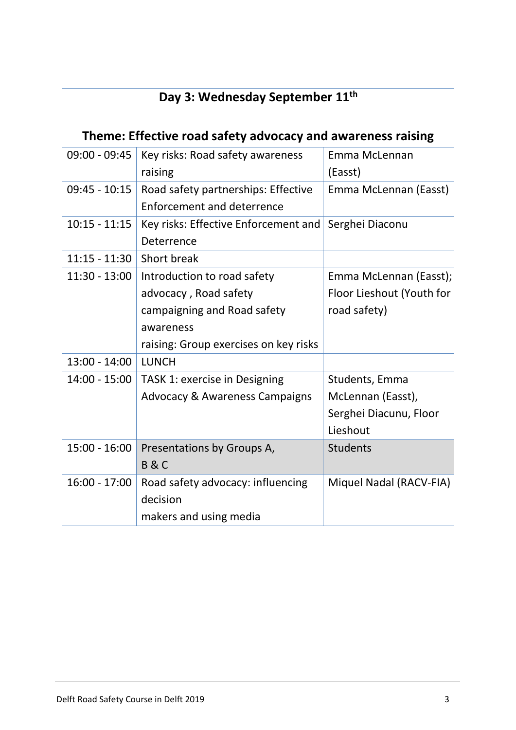| Day 3: Wednesday September 11th                             |                                           |                           |
|-------------------------------------------------------------|-------------------------------------------|---------------------------|
| Theme: Effective road safety advocacy and awareness raising |                                           |                           |
| 09:00 - 09:45                                               | Key risks: Road safety awareness          | Emma McLennan             |
|                                                             | raising                                   | (Easst)                   |
| $09:45 - 10:15$                                             | Road safety partnerships: Effective       | Emma McLennan (Easst)     |
|                                                             | Enforcement and deterrence                |                           |
| $10:15 - 11:15$                                             | Key risks: Effective Enforcement and      | Serghei Diaconu           |
|                                                             | Deterrence                                |                           |
| $11:15 - 11:30$                                             | Short break                               |                           |
| $11:30 - 13:00$                                             | Introduction to road safety               | Emma McLennan (Easst);    |
|                                                             | advocacy, Road safety                     | Floor Lieshout (Youth for |
|                                                             | campaigning and Road safety               | road safety)              |
|                                                             | awareness                                 |                           |
|                                                             | raising: Group exercises on key risks     |                           |
| $13:00 - 14:00$                                             | <b>LUNCH</b>                              |                           |
| $14:00 - 15:00$                                             | TASK 1: exercise in Designing             | Students, Emma            |
|                                                             | <b>Advocacy &amp; Awareness Campaigns</b> | McLennan (Easst),         |
|                                                             |                                           | Serghei Diacunu, Floor    |
|                                                             |                                           | Lieshout                  |
| $15:00 - 16:00$                                             | Presentations by Groups A,                | <b>Students</b>           |
|                                                             | <b>B&amp;C</b>                            |                           |
| $16:00 - 17:00$                                             | Road safety advocacy: influencing         | Miquel Nadal (RACV-FIA)   |
|                                                             | decision                                  |                           |
|                                                             | makers and using media                    |                           |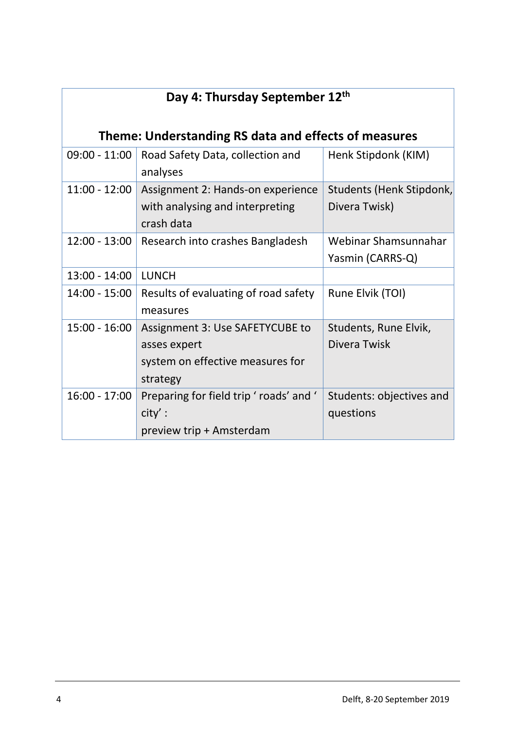| Day 4: Thursday September 12th |                                                                                                 |                                           |  |
|--------------------------------|-------------------------------------------------------------------------------------------------|-------------------------------------------|--|
|                                | Theme: Understanding RS data and effects of measures                                            |                                           |  |
| $09:00 - 11:00$                | Road Safety Data, collection and<br>analyses                                                    | Henk Stipdonk (KIM)                       |  |
| $11:00 - 12:00$                | Assignment 2: Hands-on experience<br>with analysing and interpreting<br>crash data              | Students (Henk Stipdonk,<br>Divera Twisk) |  |
| $12:00 - 13:00$                | Research into crashes Bangladesh                                                                | Webinar Shamsunnahar<br>Yasmin (CARRS-Q)  |  |
| $13:00 - 14:00$                | <b>LUNCH</b>                                                                                    |                                           |  |
| 14:00 - 15:00                  | Results of evaluating of road safety<br>measures                                                | Rune Elvik (TOI)                          |  |
| 15:00 - 16:00                  | Assignment 3: Use SAFETYCUBE to<br>asses expert<br>system on effective measures for<br>strategy | Students, Rune Elvik,<br>Divera Twisk     |  |
| $16:00 - 17:00$                | Preparing for field trip ' roads' and '<br>city':<br>preview trip + Amsterdam                   | Students: objectives and<br>questions     |  |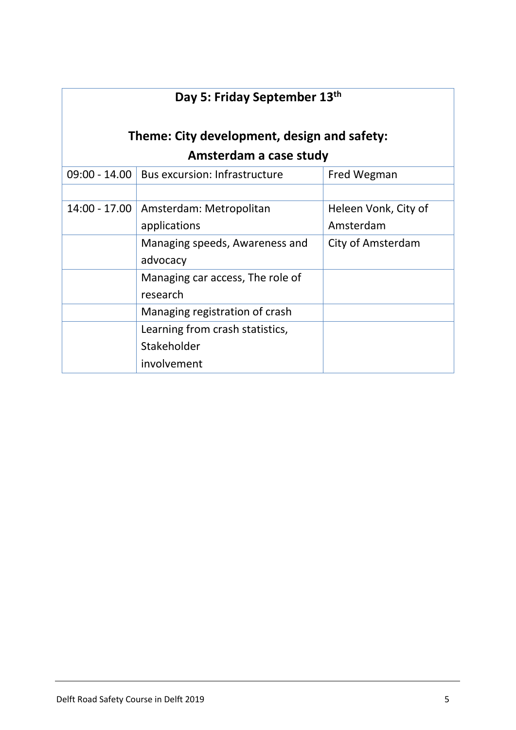| Day 5: Friday September 13th                |                                      |                      |
|---------------------------------------------|--------------------------------------|----------------------|
| Theme: City development, design and safety: |                                      |                      |
|                                             | Amsterdam a case study               |                      |
| $09:00 - 14.00$                             | <b>Bus excursion: Infrastructure</b> | Fred Wegman          |
|                                             |                                      |                      |
| $14:00 - 17.00$                             | Amsterdam: Metropolitan              | Heleen Vonk, City of |
|                                             | applications                         | Amsterdam            |
|                                             | Managing speeds, Awareness and       | City of Amsterdam    |
|                                             | advocacy                             |                      |
|                                             | Managing car access, The role of     |                      |
|                                             | research                             |                      |
|                                             | Managing registration of crash       |                      |
|                                             | Learning from crash statistics,      |                      |
|                                             | Stakeholder                          |                      |
|                                             | involvement                          |                      |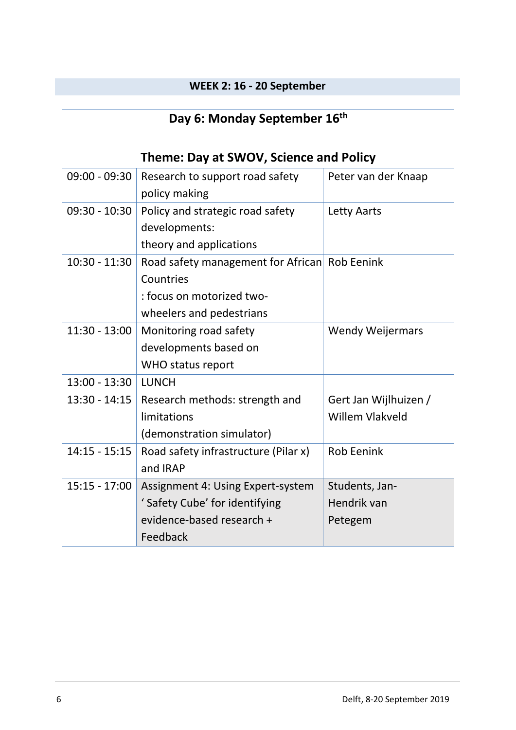## **WEEK 2: 16 - 20 September**

| Day 6: Monday September 16 <sup>th</sup> |                                                                                                                     |                                                 |
|------------------------------------------|---------------------------------------------------------------------------------------------------------------------|-------------------------------------------------|
| Theme: Day at SWOV, Science and Policy   |                                                                                                                     |                                                 |
| $09:00 - 09:30$                          | Research to support road safety<br>policy making                                                                    | Peter van der Knaap                             |
| $09:30 - 10:30$                          | Policy and strategic road safety<br>developments:<br>theory and applications                                        | <b>Letty Aarts</b>                              |
| $10:30 - 11:30$                          | Road safety management for African Rob Eenink<br>Countries<br>: focus on motorized two-<br>wheelers and pedestrians |                                                 |
| $11:30 - 13:00$                          | Monitoring road safety<br>developments based on<br>WHO status report                                                | <b>Wendy Weijermars</b>                         |
| $13:00 - 13:30$                          | <b>LUNCH</b>                                                                                                        |                                                 |
| $13:30 - 14:15$                          | Research methods: strength and<br>limitations<br>(demonstration simulator)                                          | Gert Jan Wijlhuizen /<br><b>Willem Vlakveld</b> |
| $14:15 - 15:15$                          | Road safety infrastructure (Pilar x)<br>and IRAP                                                                    | <b>Rob Eenink</b>                               |
| $15:15 - 17:00$                          | Assignment 4: Using Expert-system<br>' Safety Cube' for identifying<br>evidence-based research +<br>Feedback        | Students, Jan-<br>Hendrik van<br>Petegem        |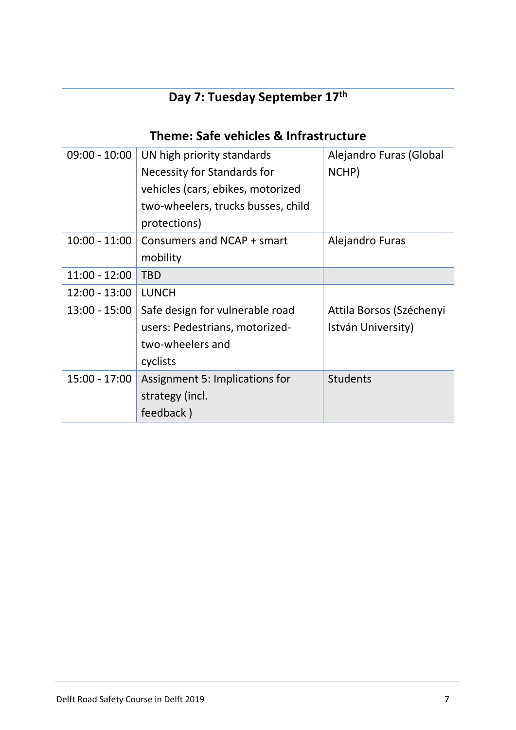| Day 7: Tuesday September 17th         |                                    |                          |
|---------------------------------------|------------------------------------|--------------------------|
| Theme: Safe vehicles & Infrastructure |                                    |                          |
| $09:00 - 10:00$                       | UN high priority standards         | Alejandro Furas (Global  |
|                                       | Necessity for Standards for        | NCHP)                    |
|                                       | vehicles (cars, ebikes, motorized  |                          |
|                                       | two-wheelers, trucks busses, child |                          |
|                                       | protections)                       |                          |
| $10:00 - 11:00$                       | Consumers and NCAP + smart         | Alejandro Furas          |
|                                       | mobility                           |                          |
| $11:00 - 12:00$                       | <b>TBD</b>                         |                          |
| $12:00 - 13:00$                       | <b>LUNCH</b>                       |                          |
| $13:00 - 15:00$                       | Safe design for vulnerable road    | Attila Borsos (Széchenyi |
|                                       | users: Pedestrians, motorized-     | István University)       |
|                                       | two-wheelers and                   |                          |
|                                       | cyclists                           |                          |
| 15:00 - 17:00                         | Assignment 5: Implications for     | <b>Students</b>          |
|                                       | strategy (incl.                    |                          |
|                                       | feedback)                          |                          |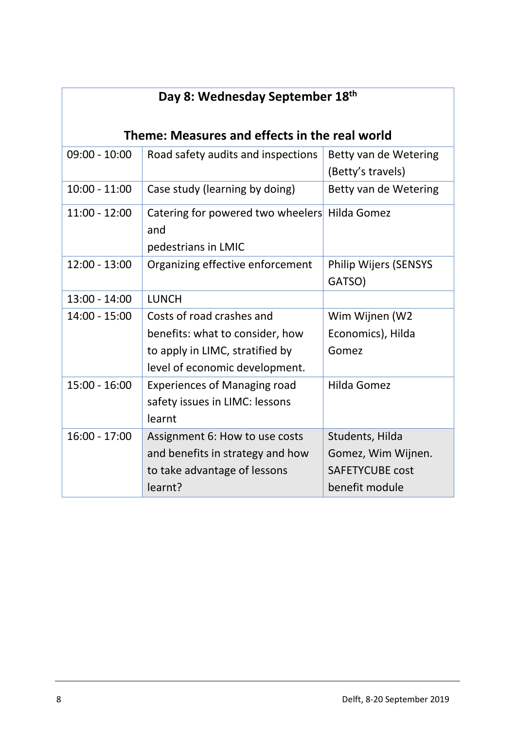| Day 8: Wednesday September 18th               |                                                                                                                                   |                                                                                   |
|-----------------------------------------------|-----------------------------------------------------------------------------------------------------------------------------------|-----------------------------------------------------------------------------------|
| Theme: Measures and effects in the real world |                                                                                                                                   |                                                                                   |
| $09:00 - 10:00$                               | Road safety audits and inspections                                                                                                | Betty van de Wetering<br>(Betty's travels)                                        |
| $10:00 - 11:00$                               | Case study (learning by doing)                                                                                                    | Betty van de Wetering                                                             |
| $11:00 - 12:00$                               | Catering for powered two wheelers Hilda Gomez<br>and<br>pedestrians in LMIC                                                       |                                                                                   |
| $12:00 - 13:00$                               | Organizing effective enforcement                                                                                                  | <b>Philip Wijers (SENSYS</b><br>GATSO)                                            |
| 13:00 - 14:00                                 | <b>LUNCH</b>                                                                                                                      |                                                                                   |
| $14:00 - 15:00$                               | Costs of road crashes and<br>benefits: what to consider, how<br>to apply in LIMC, stratified by<br>level of economic development. | Wim Wijnen (W2<br>Economics), Hilda<br>Gomez                                      |
| $15:00 - 16:00$                               | <b>Experiences of Managing road</b><br>safety issues in LIMC: lessons<br>learnt                                                   | Hilda Gomez                                                                       |
| $16:00 - 17:00$                               | Assignment 6: How to use costs<br>and benefits in strategy and how<br>to take advantage of lessons<br>learnt?                     | Students, Hilda<br>Gomez, Wim Wijnen.<br><b>SAFETYCUBE cost</b><br>benefit module |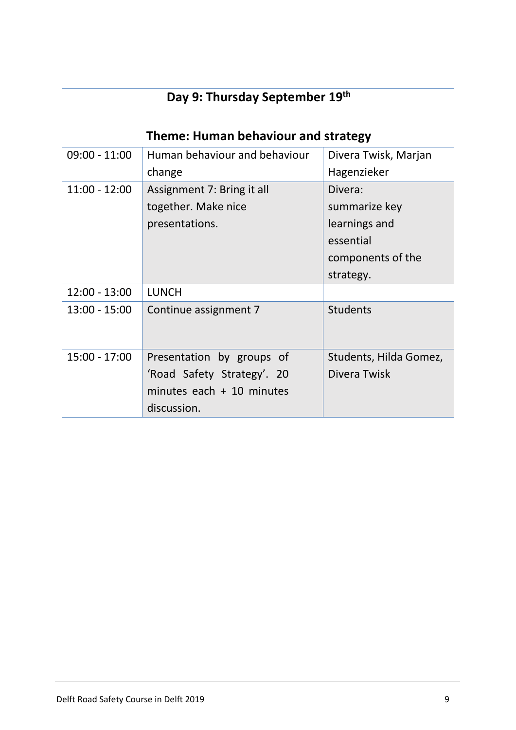| Day 9: Thursday September 19th      |                               |                        |
|-------------------------------------|-------------------------------|------------------------|
| Theme: Human behaviour and strategy |                               |                        |
| $09:00 - 11:00$                     | Human behaviour and behaviour | Divera Twisk, Marjan   |
|                                     | change                        | Hagenzieker            |
| $11:00 - 12:00$                     | Assignment 7: Bring it all    | Divera:                |
|                                     | together. Make nice           | summarize key          |
|                                     | presentations.                | learnings and          |
|                                     |                               | essential              |
|                                     |                               | components of the      |
|                                     |                               | strategy.              |
| $12:00 - 13:00$                     | <b>LUNCH</b>                  |                        |
| $13:00 - 15:00$                     | Continue assignment 7         | <b>Students</b>        |
| $15:00 - 17:00$                     | Presentation by groups of     | Students, Hilda Gomez, |
|                                     | 'Road Safety Strategy'. 20    | Divera Twisk           |
|                                     | minutes each $+10$ minutes    |                        |
|                                     | discussion.                   |                        |